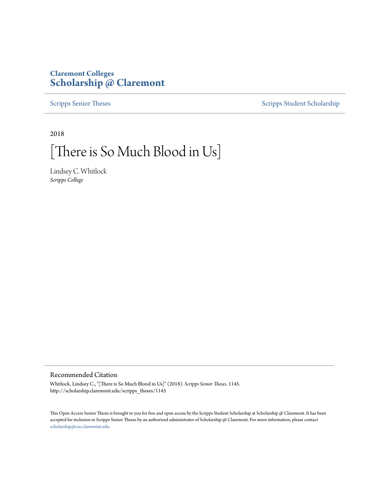# **Claremont Colleges [Scholarship @ Claremont](http://scholarship.claremont.edu)**

[Scripps Senior Theses](http://scholarship.claremont.edu/scripps_theses) [Scripps Student Scholarship](http://scholarship.claremont.edu/scripps_student)

2018

# [There is So Much Blood in Us]

Lindsey C. Whitlock *Scripps College*

#### Recommended Citation

Whitlock, Lindsey C., "[There is So Much Blood in Us]" (2018). *Scripps Senior Theses*. 1145. http://scholarship.claremont.edu/scripps\_theses/1145

This Open Access Senior Thesis is brought to you for free and open access by the Scripps Student Scholarship at Scholarship @ Claremont. It has been accepted for inclusion in Scripps Senior Theses by an authorized administrator of Scholarship @ Claremont. For more information, please contact [scholarship@cuc.claremont.edu.](mailto:scholarship@cuc.claremont.edu)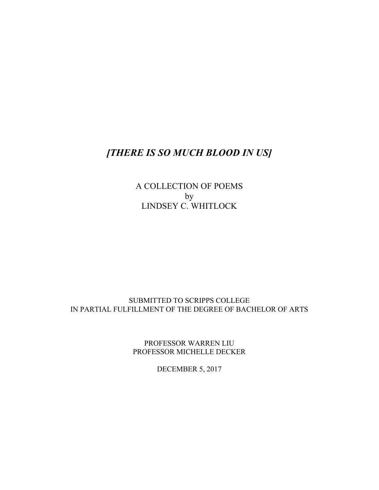# *[THERE IS SO MUCH BLOOD IN US]*

A COLLECTION OF POEMS by LINDSEY C. WHITLOCK

## SUBMITTED TO SCRIPPS COLLEGE IN PARTIAL FULFILLMENT OF THE DEGREE OF BACHELOR OF ARTS

PROFESSOR WARREN LIU PROFESSOR MICHELLE DECKER

DECEMBER 5, 2017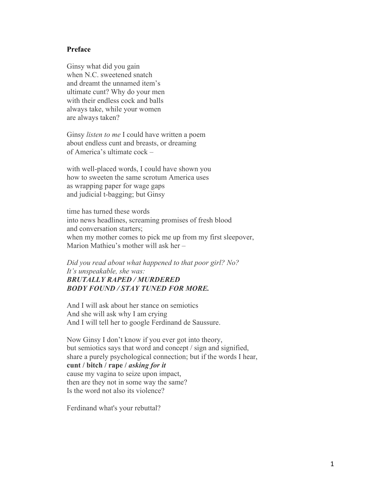#### **Preface**

Ginsy what did you gain when N.C. sweetened snatch and dreamt the unnamed item's ultimate cunt? Why do your men with their endless cock and balls always take, while your women are always taken?

Ginsy *listen to me* I could have written a poem about endless cunt and breasts, or dreaming of America's ultimate cock –

with well-placed words, I could have shown you how to sweeten the same scrotum America uses as wrapping paper for wage gaps and judicial t-bagging; but Ginsy

time has turned these words into news headlines, screaming promises of fresh blood and conversation starters; when my mother comes to pick me up from my first sleepover, Marion Mathieu's mother will ask her –

*Did you read about what happened to that poor girl? No? It's unspeakable, she was: BRUTALLY RAPED / MURDERED BODY FOUND / STAY TUNED FOR MORE.*

And I will ask about her stance on semiotics And she will ask why I am crying And I will tell her to google Ferdinand de Saussure.

Now Ginsy I don't know if you ever got into theory, but semiotics says that word and concept / sign and signified, share a purely psychological connection; but if the words I hear, **cunt / bitch / rape /** *asking for it* cause my vagina to seize upon impact, then are they not in some way the same? Is the word not also its violence?

Ferdinand what's your rebuttal?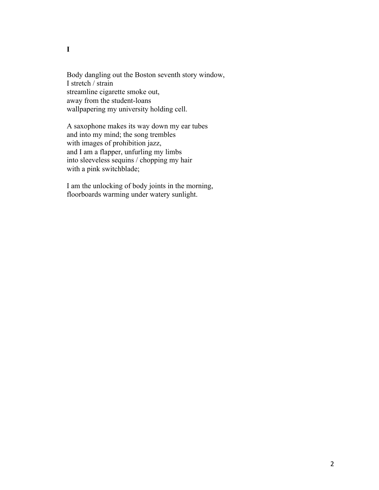Body dangling out the Boston seventh story window, I stretch / strain streamline cigarette smoke out, away from the student-loans wallpapering my university holding cell.

A saxophone makes its way down my ear tubes and into my mind; the song trembles with images of prohibition jazz, and I am a flapper, unfurling my limbs into sleeveless sequins / chopping my hair with a pink switchblade;

I am the unlocking of body joints in the morning, floorboards warming under watery sunlight.

**I**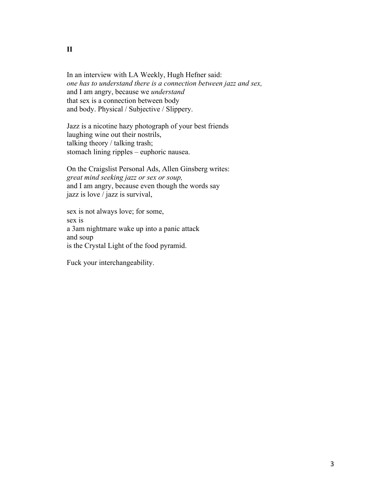In an interview with LA Weekly, Hugh Hefner said: *one has to understand there is a connection between jazz and sex,* and I am angry, because we *understand* that sex is a connection between body and body. Physical / Subjective / Slippery.

Jazz is a nicotine hazy photograph of your best friends laughing wine out their nostrils, talking theory / talking trash; stomach lining ripples – euphoric nausea.

On the Craigslist Personal Ads, Allen Ginsberg writes: *great mind seeking jazz or sex or soup,* and I am angry, because even though the words say jazz is love / jazz is survival,

sex is not always love; for some, sex is a 3am nightmare wake up into a panic attack and soup is the Crystal Light of the food pyramid.

Fuck your interchangeability.

#### **II**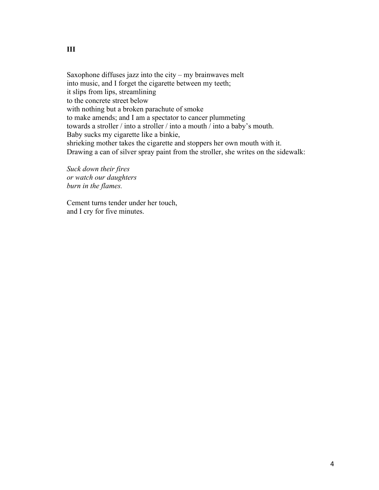Saxophone diffuses jazz into the city – my brainwaves melt into music, and I forget the cigarette between my teeth; it slips from lips, streamlining to the concrete street below with nothing but a broken parachute of smoke to make amends; and I am a spectator to cancer plummeting towards a stroller / into a stroller / into a mouth / into a baby's mouth. Baby sucks my cigarette like a binkie, shrieking mother takes the cigarette and stoppers her own mouth with it. Drawing a can of silver spray paint from the stroller, she writes on the sidewalk:

*Suck down their fires or watch our daughters burn in the flames.*

Cement turns tender under her touch, and I cry for five minutes.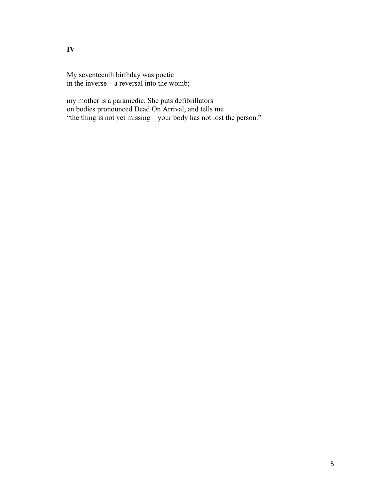My seventeenth birthday was poetic in the inverse – a reversal into the womb;

my mother is a paramedic. She puts defibrillators on bodies pronounced Dead On Arrival, and tells me "the thing is not yet missing – your body has not lost the person."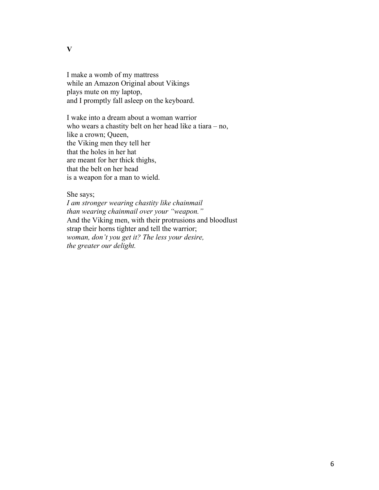**V**

I make a womb of my mattress while an Amazon Original about Vikings plays mute on my laptop, and I promptly fall asleep on the keyboard.

I wake into a dream about a woman warrior who wears a chastity belt on her head like a tiara – no, like a crown; Queen, the Viking men they tell her that the holes in her hat are meant for her thick thighs, that the belt on her head is a weapon for a man to wield.

She says;

*I am stronger wearing chastity like chainmail than wearing chainmail over your "weapon."* And the Viking men, with their protrusions and bloodlust strap their horns tighter and tell the warrior; *woman, don't you get it? The less your desire, the greater our delight.*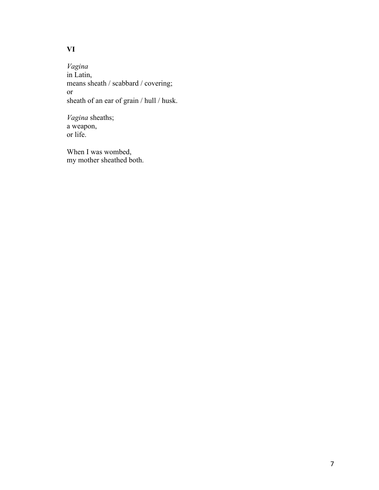# **VI**

*Vagina* in Latin, means sheath / scabbard / covering; or sheath of an ear of grain / hull / husk.

*Vagina* sheaths; a weapon, or life.

When I was wombed, my mother sheathed both.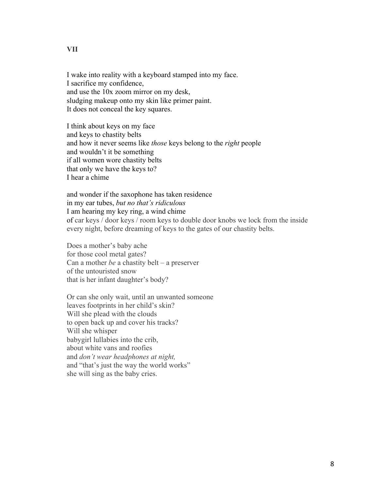I wake into reality with a keyboard stamped into my face. I sacrifice my confidence, and use the 10x zoom mirror on my desk, sludging makeup onto my skin like primer paint. It does not conceal the key squares.

I think about keys on my face and keys to chastity belts and how it never seems like *those* keys belong to the *right* people and wouldn't it be something if all women wore chastity belts that only we have the keys to? I hear a chime

and wonder if the saxophone has taken residence in my ear tubes, *but no that's ridiculous* I am hearing my key ring, a wind chime of car keys / door keys / room keys to double door knobs we lock from the inside every night, before dreaming of keys to the gates of our chastity belts.

Does a mother's baby ache for those cool metal gates? Can a mother *be* a chastity belt – a preserver of the untouristed snow that is her infant daughter's body?

Or can she only wait, until an unwanted someone leaves footprints in her child's skin? Will she plead with the clouds to open back up and cover his tracks? Will she whisper babygirl lullabies into the crib, about white vans and roofies and *don't wear headphones at night,* and "that's just the way the world works" she will sing as the baby cries.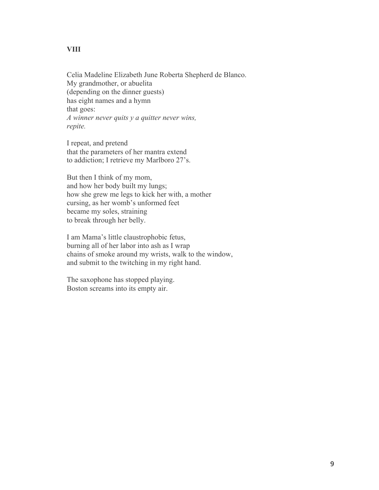Celia Madeline Elizabeth June Roberta Shepherd de Blanco. My grandmother, or abuelita (depending on the dinner guests) has eight names and a hymn that goes: *A winner never quits y a quitter never wins, repite.*

I repeat, and pretend that the parameters of her mantra extend to addiction; I retrieve my Marlboro 27's.

But then I think of my mom, and how her body built my lungs; how she grew me legs to kick her with, a mother cursing, as her womb's unformed feet became my soles, straining to break through her belly.

I am Mama's little claustrophobic fetus, burning all of her labor into ash as I wrap chains of smoke around my wrists, walk to the window, and submit to the twitching in my right hand.

The saxophone has stopped playing. Boston screams into its empty air.

#### **VIII**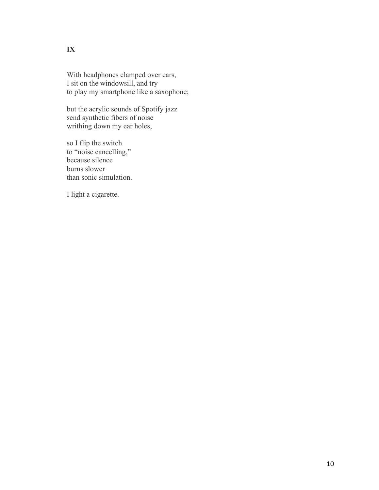With headphones clamped over ears, I sit on the windowsill, and try to play my smartphone like a saxophone;

but the acrylic sounds of Spotify jazz send synthetic fibers of noise writhing down my ear holes,

so I flip the switch to "noise cancelling," because silence burns slower than sonic simulation.

I light a cigarette.

#### **IX**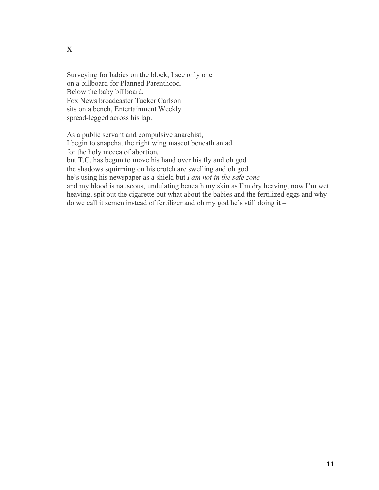Surveying for babies on the block, I see only one on a billboard for Planned Parenthood. Below the baby billboard, Fox News broadcaster Tucker Carlson sits on a bench, Entertainment Weekly spread-legged across his lap.

As a public servant and compulsive anarchist, I begin to snapchat the right wing mascot beneath an ad for the holy mecca of abortion, but T.C. has begun to move his hand over his fly and oh god the shadows squirming on his crotch are swelling and oh god he's using his newspaper as a shield but *I am not in the safe zone*  and my blood is nauseous, undulating beneath my skin as I'm dry heaving, now I'm wet heaving, spit out the cigarette but what about the babies and the fertilized eggs and why do we call it semen instead of fertilizer and oh my god he's still doing it –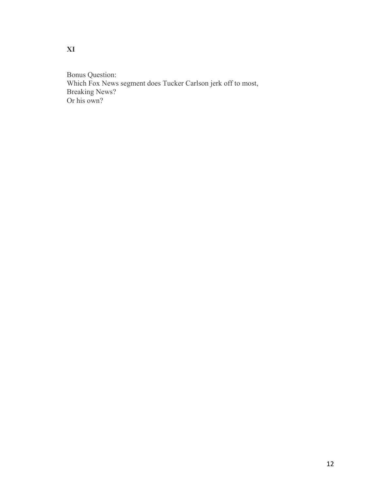Bonus Question: Which Fox News segment does Tucker Carlson jerk off to most, Breaking News? Or his own?

**XI**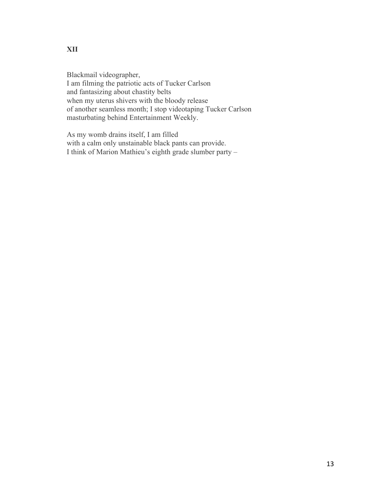#### **XII**

Blackmail videographer, I am filming the patriotic acts of Tucker Carlson and fantasizing about chastity belts when my uterus shivers with the bloody release of another seamless month; I stop videotaping Tucker Carlson masturbating behind Entertainment Weekly.

As my womb drains itself, I am filled with a calm only unstainable black pants can provide. I think of Marion Mathieu's eighth grade slumber party –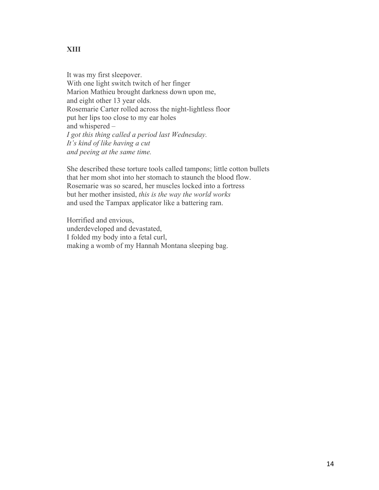#### **XIII**

It was my first sleepover. With one light switch twitch of her finger Marion Mathieu brought darkness down upon me, and eight other 13 year olds. Rosemarie Carter rolled across the night-lightless floor put her lips too close to my ear holes and whispered – *I got this thing called a period last Wednesday. It's kind of like having a cut and peeing at the same time.*

She described these torture tools called tampons; little cotton bullets that her mom shot into her stomach to staunch the blood flow. Rosemarie was so scared, her muscles locked into a fortress but her mother insisted, *this is the way the world works* and used the Tampax applicator like a battering ram.

Horrified and envious, underdeveloped and devastated, I folded my body into a fetal curl, making a womb of my Hannah Montana sleeping bag.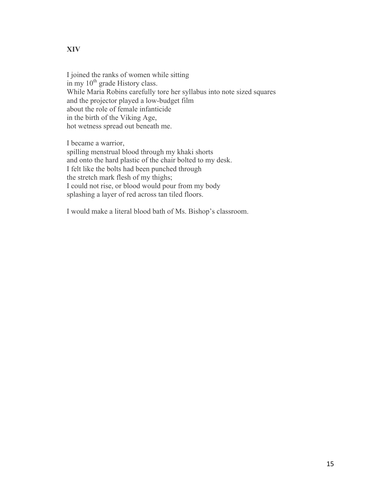#### **XIV**

I joined the ranks of women while sitting in my  $10<sup>th</sup>$  grade History class. While Maria Robins carefully tore her syllabus into note sized squares and the projector played a low-budget film about the role of female infanticide in the birth of the Viking Age, hot wetness spread out beneath me.

I became a warrior,

spilling menstrual blood through my khaki shorts and onto the hard plastic of the chair bolted to my desk. I felt like the bolts had been punched through the stretch mark flesh of my thighs; I could not rise, or blood would pour from my body splashing a layer of red across tan tiled floors.

I would make a literal blood bath of Ms. Bishop's classroom.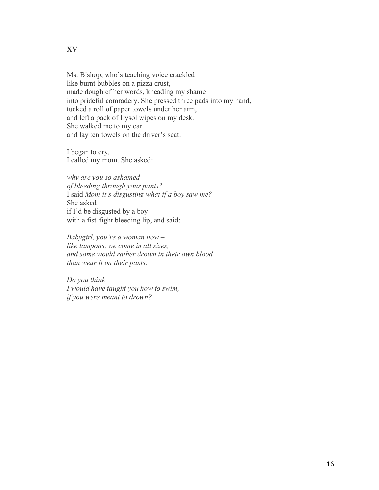Ms. Bishop, who's teaching voice crackled like burnt bubbles on a pizza crust, made dough of her words, kneading my shame into prideful comradery. She pressed three pads into my hand, tucked a roll of paper towels under her arm, and left a pack of Lysol wipes on my desk. She walked me to my car and lay ten towels on the driver's seat.

I began to cry. I called my mom. She asked:

*why are you so ashamed of bleeding through your pants?* I said *Mom it's disgusting what if a boy saw me?* She asked if I'd be disgusted by a boy with a fist-fight bleeding lip, and said:

*Babygirl, you're a woman now – like tampons, we come in all sizes, and some would rather drown in their own blood than wear it on their pants.*

*Do you think I would have taught you how to swim, if you were meant to drown?*

**XV**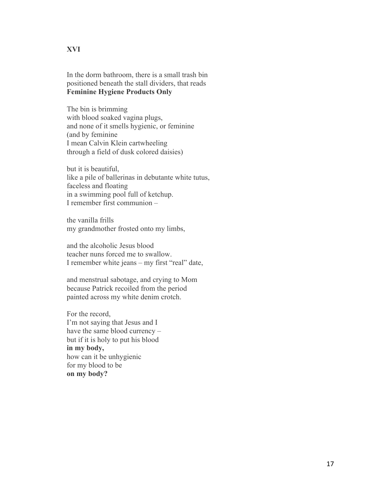#### **XVI**

In the dorm bathroom, there is a small trash bin positioned beneath the stall dividers, that reads **Feminine Hygiene Products Only**

The bin is brimming with blood soaked vagina plugs, and none of it smells hygienic, or feminine (and by feminine I mean Calvin Klein cartwheeling through a field of dusk colored daisies)

but it is beautiful, like a pile of ballerinas in debutante white tutus, faceless and floating in a swimming pool full of ketchup. I remember first communion –

the vanilla frills my grandmother frosted onto my limbs,

and the alcoholic Jesus blood teacher nuns forced me to swallow. I remember white jeans – my first "real" date,

and menstrual sabotage, and crying to Mom because Patrick recoiled from the period painted across my white denim crotch.

For the record, I'm not saying that Jesus and I have the same blood currency – but if it is holy to put his blood **in my body,** how can it be unhygienic for my blood to be **on my body?**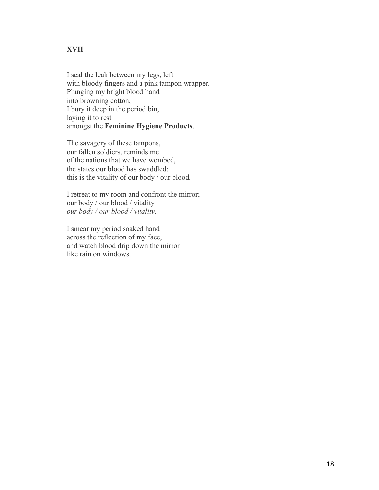#### **XVII**

I seal the leak between my legs, left with bloody fingers and a pink tampon wrapper. Plunging my bright blood hand into browning cotton, I bury it deep in the period bin, laying it to rest amongst the **Feminine Hygiene Products**.

The savagery of these tampons, our fallen soldiers, reminds me of the nations that we have wombed, the states our blood has swaddled; this is the vitality of our body / our blood.

I retreat to my room and confront the mirror; our body / our blood / vitality *our body / our blood / vitality.*

I smear my period soaked hand across the reflection of my face, and watch blood drip down the mirror like rain on windows.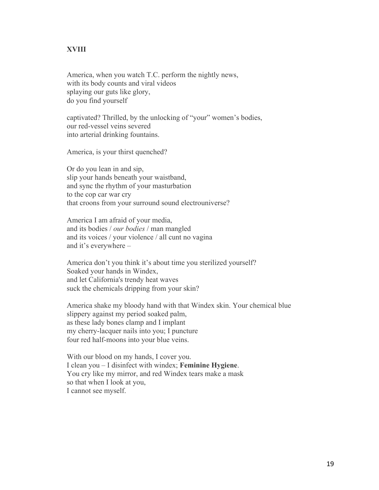#### **XVIII**

America, when you watch T.C. perform the nightly news, with its body counts and viral videos splaying our guts like glory, do you find yourself

captivated? Thrilled, by the unlocking of "your" women's bodies, our red-vessel veins severed into arterial drinking fountains.

America, is your thirst quenched?

Or do you lean in and sip, slip your hands beneath your waistband, and sync the rhythm of your masturbation to the cop car war cry that croons from your surround sound electrouniverse?

America I am afraid of your media, and its bodies / *our bodies* / man mangled and its voices / your violence / all cunt no vagina and it's everywhere –

America don't you think it's about time you sterilized yourself? Soaked your hands in Windex, and let California's trendy heat waves suck the chemicals dripping from your skin?

America shake my bloody hand with that Windex skin. Your chemical blue slippery against my period soaked palm, as these lady bones clamp and I implant my cherry-lacquer nails into you; I puncture four red half-moons into your blue veins.

With our blood on my hands, I cover you. I clean you – I disinfect with windex; **Feminine Hygiene**. You cry like my mirror, and red Windex tears make a mask so that when I look at you, I cannot see myself.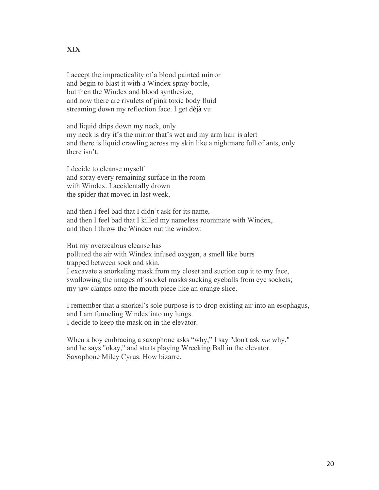#### **XIX**

I accept the impracticality of a blood painted mirror and begin to blast it with a Windex spray bottle, but then the Windex and blood synthesize, and now there are rivulets of pink toxic body fluid streaming down my reflection face. I get déjà vu

and liquid drips down my neck, only my neck is dry it's the mirror that's wet and my arm hair is alert and there is liquid crawling across my skin like a nightmare full of ants, only there isn't.

I decide to cleanse myself and spray every remaining surface in the room with Windex. I accidentally drown the spider that moved in last week,

and then I feel bad that I didn't ask for its name, and then I feel bad that I killed my nameless roommate with Windex, and then I throw the Windex out the window.

But my overzealous cleanse has polluted the air with Windex infused oxygen, a smell like burrs trapped between sock and skin. I excavate a snorkeling mask from my closet and suction cup it to my face, swallowing the images of snorkel masks sucking eyeballs from eye sockets; my jaw clamps onto the mouth piece like an orange slice.

I remember that a snorkel's sole purpose is to drop existing air into an esophagus, and I am funneling Windex into my lungs. I decide to keep the mask on in the elevator.

When a boy embracing a saxophone asks "why," I say "don't ask *me* why," and he says "okay," and starts playing Wrecking Ball in the elevator. Saxophone Miley Cyrus. How bizarre.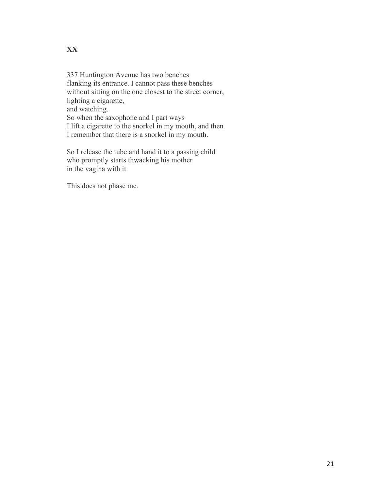337 Huntington Avenue has two benches flanking its entrance. I cannot pass these benches without sitting on the one closest to the street corner, lighting a cigarette, and watching. So when the saxophone and I part ways I lift a cigarette to the snorkel in my mouth, and then I remember that there is a snorkel in my mouth.

So I release the tube and hand it to a passing child who promptly starts thwacking his mother in the vagina with it.

This does not phase me.

#### **XX**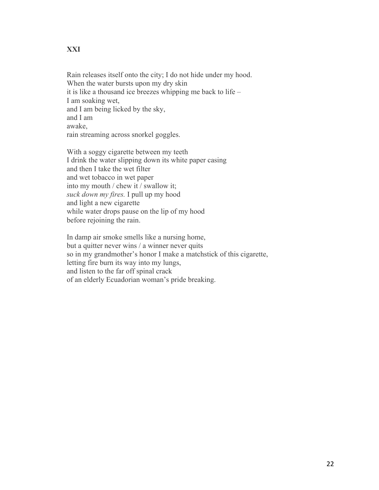#### **XXI**

Rain releases itself onto the city; I do not hide under my hood. When the water bursts upon my dry skin it is like a thousand ice breezes whipping me back to life – I am soaking wet, and I am being licked by the sky, and I am awake, rain streaming across snorkel goggles.

With a soggy cigarette between my teeth I drink the water slipping down its white paper casing and then I take the wet filter and wet tobacco in wet paper into my mouth / chew it / swallow it; *suck down my fires.* I pull up my hood and light a new cigarette while water drops pause on the lip of my hood before rejoining the rain.

In damp air smoke smells like a nursing home, but a quitter never wins / a winner never quits so in my grandmother's honor I make a matchstick of this cigarette, letting fire burn its way into my lungs, and listen to the far off spinal crack of an elderly Ecuadorian woman's pride breaking.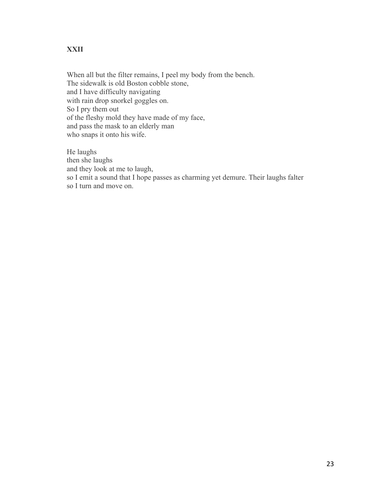#### **XXII**

When all but the filter remains, I peel my body from the bench. The sidewalk is old Boston cobble stone, and I have difficulty navigating with rain drop snorkel goggles on. So I pry them out of the fleshy mold they have made of my face, and pass the mask to an elderly man who snaps it onto his wife.

He laughs then she laughs and they look at me to laugh, so I emit a sound that I hope passes as charming yet demure. Their laughs falter so I turn and move on.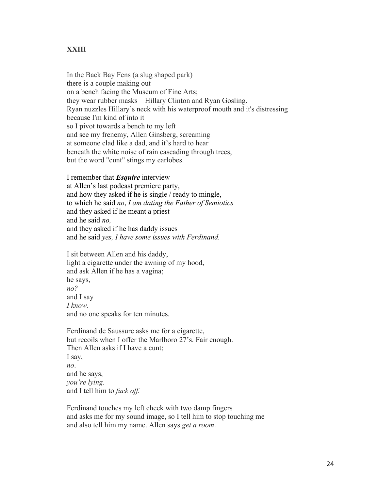#### **XXIII**

In the Back Bay Fens (a slug shaped park) there is a couple making out on a bench facing the Museum of Fine Arts; they wear rubber masks – Hillary Clinton and Ryan Gosling. Ryan nuzzles Hillary's neck with his waterproof mouth and it's distressing because I'm kind of into it so I pivot towards a bench to my left and see my frenemy, Allen Ginsberg, screaming at someone clad like a dad, and it's hard to hear beneath the white noise of rain cascading through trees, but the word "cunt" stings my earlobes.

I remember that *Esquire* interview at Allen's last podcast premiere party, and how they asked if he is single / ready to mingle, to which he said *no*, *I am dating the Father of Semiotics* and they asked if he meant a priest and he said *no,* and they asked if he has daddy issues and he said *yes, I have some issues with Ferdinand.*

I sit between Allen and his daddy, light a cigarette under the awning of my hood, and ask Allen if he has a vagina; he says, *no?* and I say *I know.* and no one speaks for ten minutes.

Ferdinand de Saussure asks me for a cigarette, but recoils when I offer the Marlboro 27's. Fair enough. Then Allen asks if I have a cunt; I say, *no*. and he says, *you're lying.* and I tell him to *fuck off.*

Ferdinand touches my left cheek with two damp fingers and asks me for my sound image, so I tell him to stop touching me and also tell him my name. Allen says *get a room*.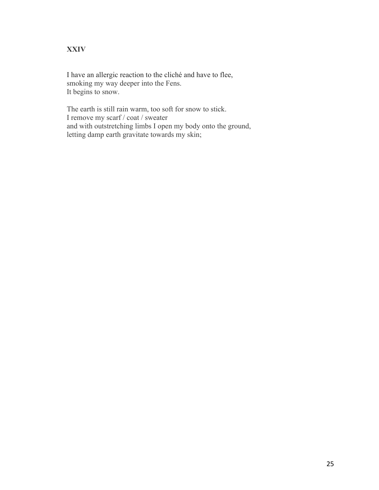## **XXIV**

I have an allergic reaction to the cliché and have to flee, smoking my way deeper into the Fens. It begins to snow.

The earth is still rain warm, too soft for snow to stick. I remove my scarf / coat / sweater and with outstretching limbs I open my body onto the ground, letting damp earth gravitate towards my skin;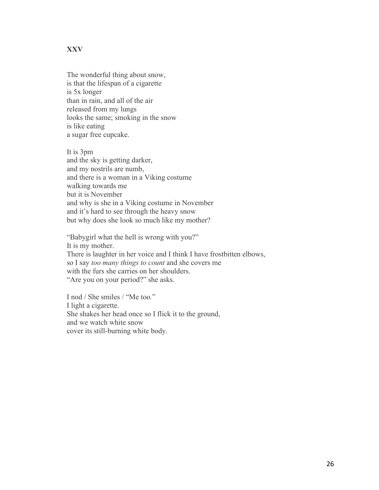#### **XXV**

The wonderful thing about snow, is that the lifespan of a cigarette is 5x longer than in rain, and all of the air released from my lungs looks the same; smoking in the snow is like eating a sugar free cupcake.

It is 3pm and the sky is getting darker, and my nostrils are numb, and there is a woman in a Viking costume walking towards me but it is November and why is she in a Viking costume in November and it's hard to see through the heavy snow but why does she look so much like my mother?

"Babygirl what the hell is wrong with you?" It is my mother. There is laughter in her voice and I think I have frostbitten elbows, so I say *too many things to count* and she covers me with the furs she carries on her shoulders. "Are you on your period?" she asks.

I nod / She smiles / "Me too*.*" I light a cigarette. She shakes her head once so I flick it to the ground, and we watch white snow cover its still-burning white body.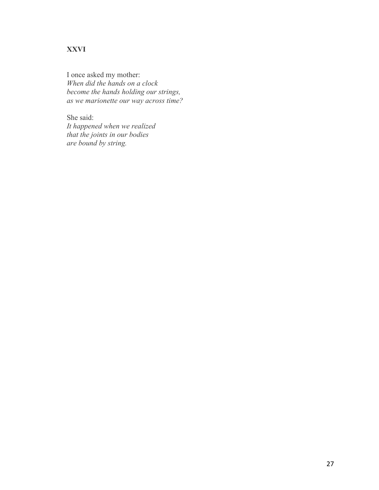# **XXVI**

I once asked my mother: *When did the hands on a clock become the hands holding our strings, as we marionette our way across time?*

She said: *It happened when we realized that the joints in our bodies are bound by string.*